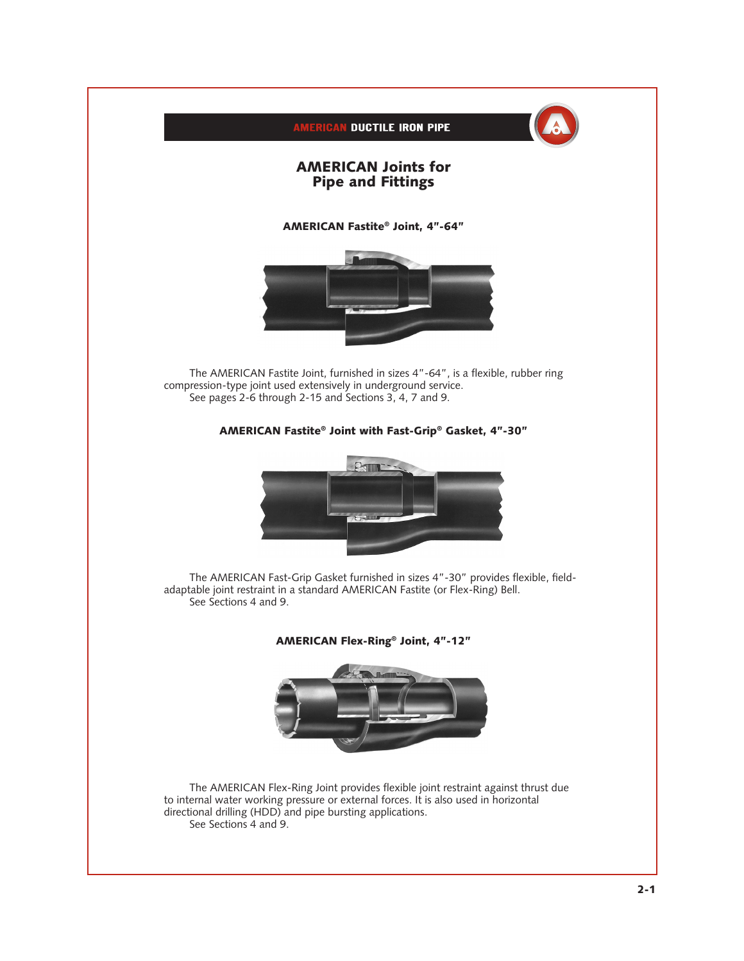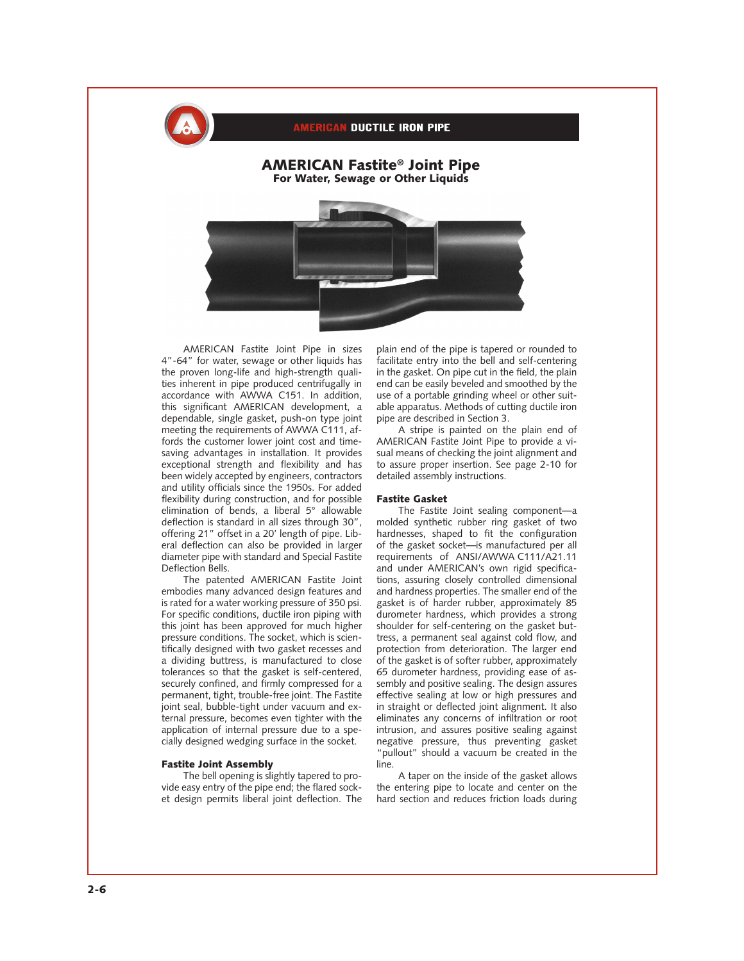

## **ERICAN DUCTILE IRON PIPE**

## AMERICAN Fastite® Joint Pipe For Water, Sewage or Other Liquids



AMERICAN Fastite Joint Pipe in sizes 4"-64" for water, sewage or other liquids has the proven long-life and high-strength qualities inherent in pipe produced centrifugally in accordance with AWWA C151. In addition, this significant AMERICAN development, a dependable, single gasket, push-on type joint meeting the requirements of AWWA C111, affords the customer lower joint cost and timesaving advantages in installation. It provides exceptional strength and flexibility and has been widely accepted by engineers, contractors and utility officials since the 1950s. For added flexibility during construction, and for possible elimination of bends, a liberal 5° allowable deflection is standard in all sizes through 30", offering 21" offset in a 20' length of pipe. Liberal deflection can also be provided in larger diameter pipe with standard and Special Fastite Deflection Bells.

The patented AMERICAN Fastite Joint embodies many advanced design features and is rated for a water working pressure of 350 psi. For specific conditions, ductile iron piping with this joint has been approved for much higher pressure conditions. The socket, which is scientifically designed with two gasket recesses and a dividing buttress, is manufactured to close tolerances so that the gasket is self-centered, securely confined, and firmly compressed for a permanent, tight, trouble-free joint. The Fastite joint seal, bubble-tight under vacuum and external pressure, becomes even tighter with the application of internal pressure due to a specially designed wedging surface in the socket.

#### Fastite Joint Assembly

The bell opening is slightly tapered to provide easy entry of the pipe end; the flared socket design permits liberal joint deflection. The plain end of the pipe is tapered or rounded to facilitate entry into the bell and self-centering in the gasket. On pipe cut in the field, the plain end can be easily beveled and smoothed by the use of a portable grinding wheel or other suitable apparatus. Methods of cutting ductile iron pipe are described in Section 3.

A stripe is painted on the plain end of AMERICAN Fastite Joint Pipe to provide a visual means of checking the joint alignment and to assure proper insertion. See page 2-10 for detailed assembly instructions.

## Fastite Gasket

The Fastite Joint sealing component—a molded synthetic rubber ring gasket of two hardnesses, shaped to fit the configuration of the gasket socket—is manufactured per all requirements of ANSI/AWWA C111/A21.11 and under AMERICAN's own rigid specifications, assuring closely controlled dimensional and hardness properties. The smaller end of the gasket is of harder rubber, approximately 85 durometer hardness, which provides a strong shoulder for self-centering on the gasket buttress, a permanent seal against cold flow, and protection from deterioration. The larger end of the gasket is of softer rubber, approximately 65 durometer hardness, providing ease of assembly and positive sealing. The design assures effective sealing at low or high pressures and in straight or deflected joint alignment. It also eliminates any concerns of infiltration or root intrusion, and assures positive sealing against negative pressure, thus preventing gasket "pullout" should a vacuum be created in the line.

A taper on the inside of the gasket allows the entering pipe to locate and center on the hard section and reduces friction loads during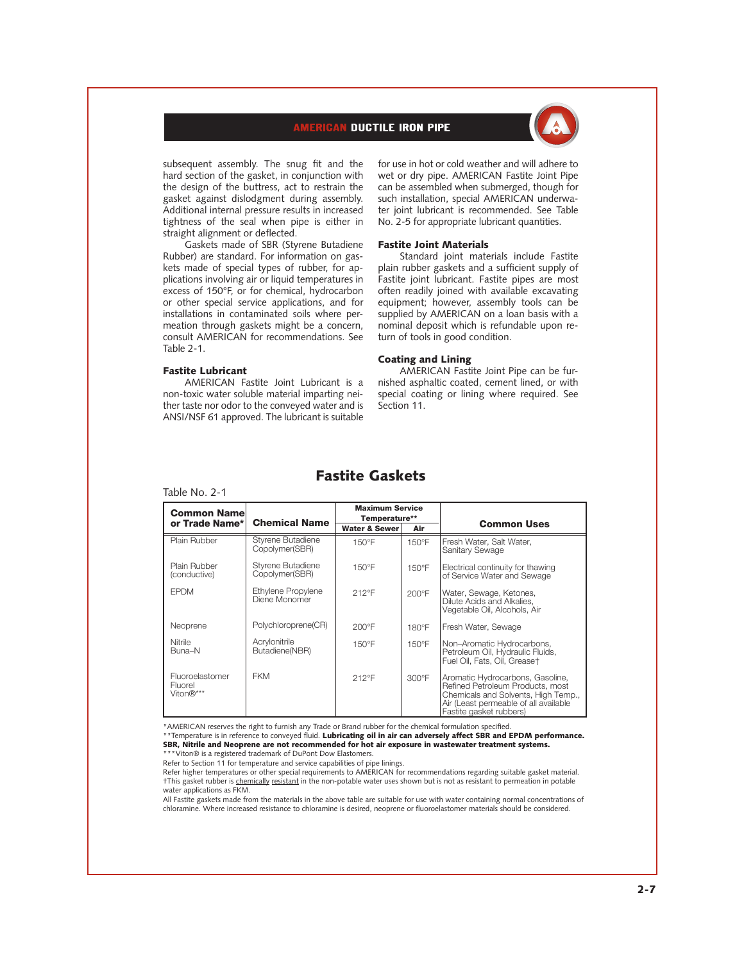# **AMERICAN DUCTILE IRON PIPE**



subsequent assembly. The snug fit and the hard section of the gasket, in conjunction with the design of the buttress, act to restrain the gasket against dislodgment during assembly. Additional internal pressure results in increased tightness of the seal when pipe is either in straight alignment or deflected.

Gaskets made of SBR (Styrene Butadiene Rubber) are standard. For information on gaskets made of special types of rubber, for applications involving air or liquid temperatures in excess of 150°F, or for chemical, hydrocarbon or other special service applications, and for installations in contaminated soils where permeation through gaskets might be a concern, consult AMERICAN for recommendations. See Table 2-1.

#### Fastite Lubricant

AMERICAN Fastite Joint Lubricant is a non-toxic water soluble material imparting neither taste nor odor to the conveyed water and is ANSI/NSF 61 approved. The lubricant is suitable

for use in hot or cold weather and will adhere to wet or dry pipe. AMERICAN Fastite Joint Pipe can be assembled when submerged, though for such installation, special AMERICAN underwater joint lubricant is recommended. See Table No. 2-5 for appropriate lubricant quantities.

#### Fastite Joint Materials

Standard joint materials include Fastite plain rubber gaskets and a sufficient supply of Fastite joint lubricant. Fastite pipes are most often readily joined with available excavating equipment; however, assembly tools can be supplied by AMERICAN on a loan basis with a nominal deposit which is refundable upon return of tools in good condition.

### Coating and Lining

AMERICAN Fastite Joint Pipe can be furnished asphaltic coated, cement lined, or with special coating or lining where required. See Section 11.

# Fastite Gaskets

#### Table No. 2-1

| <b>Common Namel</b>                     | <b>Chemical Name</b>                | <b>Maximum Service</b><br>Temperature** |                 |                                                                                                                                                                                  |  |
|-----------------------------------------|-------------------------------------|-----------------------------------------|-----------------|----------------------------------------------------------------------------------------------------------------------------------------------------------------------------------|--|
| or Trade Name*                          |                                     | <b>Water &amp; Sewer</b>                | Air             | <b>Common Uses</b>                                                                                                                                                               |  |
| Plain Rubber                            | Styrene Butadiene<br>Copolymer(SBR) | $150^{\circ}$ F                         | 150°F           | Fresh Water, Salt Water,<br>Sanitary Sewage                                                                                                                                      |  |
| Plain Rubber<br>(conductive)            | Styrene Butadiene<br>Copolymer(SBR) | $150^{\circ}$ F                         | $150^{\circ}$ F | Electrical continuity for thawing<br>of Service Water and Sewage                                                                                                                 |  |
| <b>FPDM</b>                             | Ethylene Propylene<br>Diene Monomer | 212°F                                   | 200°F           | Water, Sewage, Ketones,<br>Dilute Acids and Alkalies,<br>Vegetable Oil, Alcohols, Air                                                                                            |  |
| Neoprene                                | Polychloroprene(CR)                 | 200°F                                   | $180^{\circ}$ F | Fresh Water, Sewage                                                                                                                                                              |  |
| Nitrile<br>Buna-N                       | Acrylonitrile<br>Butadiene(NBR)     | $150^{\circ}$ F                         | $150^{\circ}$ F | Non-Aromatic Hydrocarbons,<br>Petroleum Oil, Hydraulic Fluids,<br>Fuel Oil, Fats, Oil, Greaset                                                                                   |  |
| Fluoroelastomer<br>Fluorel<br>Viton®*** | <b>FKM</b>                          | 212°F                                   | 300°F           | Aromatic Hydrocarbons, Gasoline,<br>Refined Petroleum Products, most<br>Chemicals and Solvents, High Temp.,<br>Air (Least permeable of all available)<br>Fastite gasket rubbers) |  |

\*AMERICAN reserves the right to furnish any Trade or Brand rubber for the chemical formulation specified.<br>\*\*Temperature is in reference to conveyed fluid. **Lubricating oil in air can adversely affect SBR and EPDM performan** SBR, Nitrile and Neoprene are not recommended for hot air exposure in wastewater treatment systems. \*\*\*Viton® is a registered trademark of DuPont Dow Elastomers.

Refer to Section 11 for temperature and service capabilities of pipe linings.

Refer higher temperatures or other special requirements to AMERICAN for recommendations regarding suitable gasket material. †This gasket rubber is chemically resistant in the non-potable water uses shown but is not as resistant to permeation in potable water applications as FKM.

All Fastite gaskets made from the materials in the above table are suitable for use with water containing normal concentrations of chloramine. Where increased resistance to chloramine is desired, neoprene or fluoroelastomer materials should be considered.